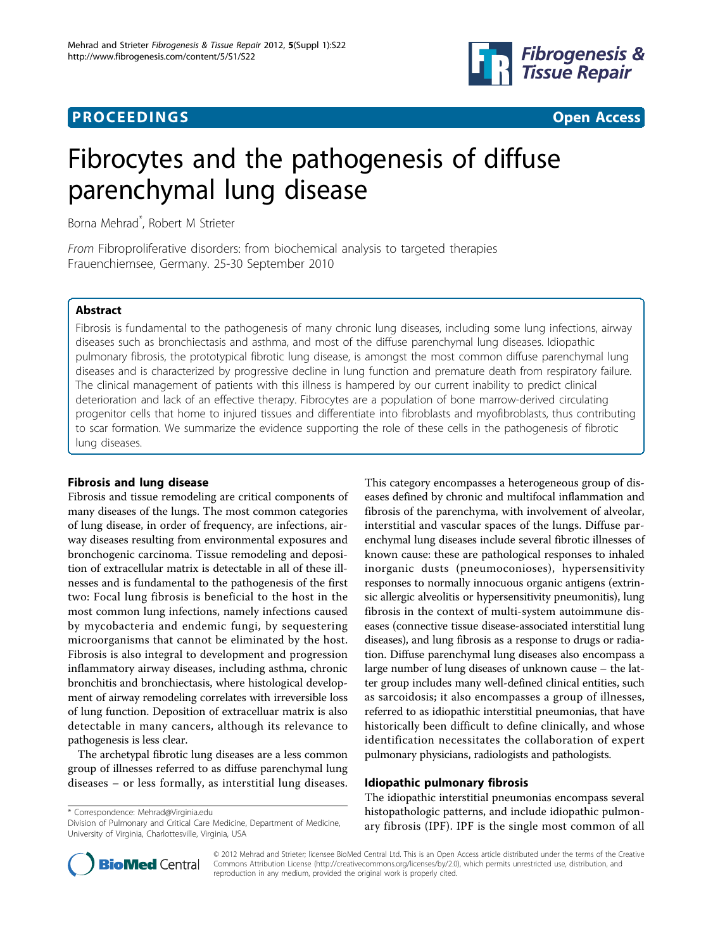# **PROCEEDINGS CONSUMING S** Open Access **CONSUMING S**



# Fibrocytes and the pathogenesis of diffuse parenchymal lung disease

Borna Mehrad\* , Robert M Strieter

From Fibroproliferative disorders: from biochemical analysis to targeted therapies Frauenchiemsee, Germany. 25-30 September 2010

# Abstract

Fibrosis is fundamental to the pathogenesis of many chronic lung diseases, including some lung infections, airway diseases such as bronchiectasis and asthma, and most of the diffuse parenchymal lung diseases. Idiopathic pulmonary fibrosis, the prototypical fibrotic lung disease, is amongst the most common diffuse parenchymal lung diseases and is characterized by progressive decline in lung function and premature death from respiratory failure. The clinical management of patients with this illness is hampered by our current inability to predict clinical deterioration and lack of an effective therapy. Fibrocytes are a population of bone marrow-derived circulating progenitor cells that home to injured tissues and differentiate into fibroblasts and myofibroblasts, thus contributing to scar formation. We summarize the evidence supporting the role of these cells in the pathogenesis of fibrotic lung diseases.

### Fibrosis and lung disease

Fibrosis and tissue remodeling are critical components of many diseases of the lungs. The most common categories of lung disease, in order of frequency, are infections, airway diseases resulting from environmental exposures and bronchogenic carcinoma. Tissue remodeling and deposition of extracellular matrix is detectable in all of these illnesses and is fundamental to the pathogenesis of the first two: Focal lung fibrosis is beneficial to the host in the most common lung infections, namely infections caused by mycobacteria and endemic fungi, by sequestering microorganisms that cannot be eliminated by the host. Fibrosis is also integral to development and progression inflammatory airway diseases, including asthma, chronic bronchitis and bronchiectasis, where histological development of airway remodeling correlates with irreversible loss of lung function. Deposition of extracelluar matrix is also detectable in many cancers, although its relevance to pathogenesis is less clear.

The archetypal fibrotic lung diseases are a less common group of illnesses referred to as diffuse parenchymal lung diseases – or less formally, as interstitial lung diseases.

\* Correspondence: [Mehrad@Virginia.edu](mailto:Mehrad@Virginia.edu)

Division of Pulmonary and Critical Care Medicine, Department of Medicine, University of Virginia, Charlottesville, Virginia, USA

This category encompasses a heterogeneous group of diseases defined by chronic and multifocal inflammation and fibrosis of the parenchyma, with involvement of alveolar, interstitial and vascular spaces of the lungs. Diffuse parenchymal lung diseases include several fibrotic illnesses of known cause: these are pathological responses to inhaled inorganic dusts (pneumoconioses), hypersensitivity responses to normally innocuous organic antigens (extrinsic allergic alveolitis or hypersensitivity pneumonitis), lung fibrosis in the context of multi-system autoimmune diseases (connective tissue disease-associated interstitial lung diseases), and lung fibrosis as a response to drugs or radiation. Diffuse parenchymal lung diseases also encompass a large number of lung diseases of unknown cause – the latter group includes many well-defined clinical entities, such as sarcoidosis; it also encompasses a group of illnesses, referred to as idiopathic interstitial pneumonias, that have historically been difficult to define clinically, and whose identification necessitates the collaboration of expert pulmonary physicians, radiologists and pathologists.

### Idiopathic pulmonary fibrosis

The idiopathic interstitial pneumonias encompass several histopathologic patterns, and include idiopathic pulmonary fibrosis (IPF). IPF is the single most common of all



© 2012 Mehrad and Strieter; licensee BioMed Central Ltd. This is an Open Access article distributed under the terms of the Creative Commons Attribution License [\(http://creativecommons.org/licenses/by/2.0](http://creativecommons.org/licenses/by/2.0)), which permits unrestricted use, distribution, and reproduction in any medium, provided the original work is properly cited.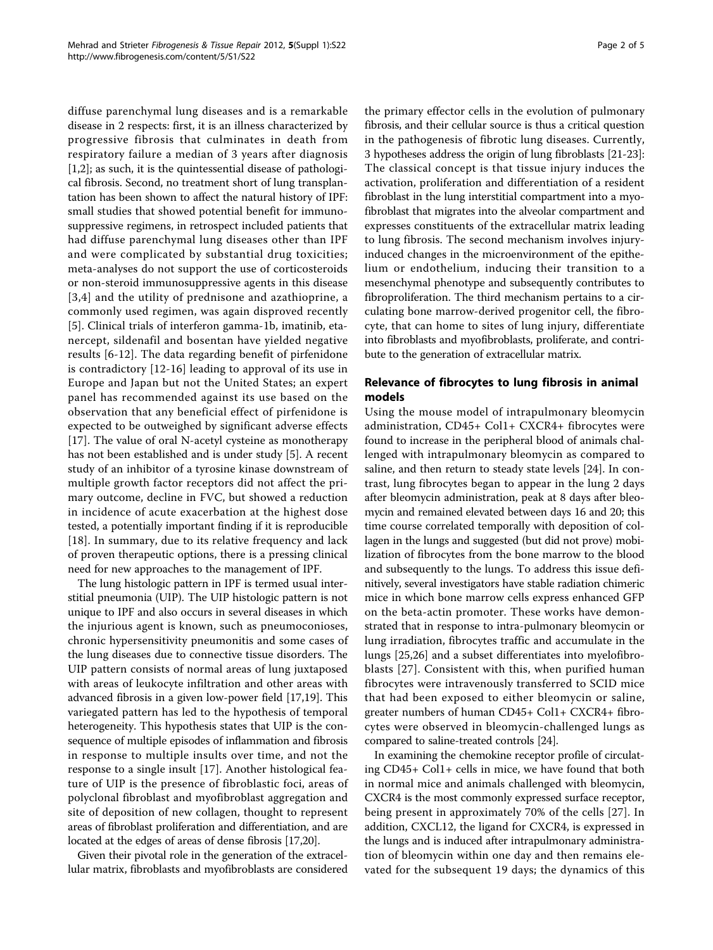diffuse parenchymal lung diseases and is a remarkable disease in 2 respects: first, it is an illness characterized by progressive fibrosis that culminates in death from respiratory failure a median of 3 years after diagnosis [[1,2\]](#page-3-0); as such, it is the quintessential disease of pathological fibrosis. Second, no treatment short of lung transplantation has been shown to affect the natural history of IPF: small studies that showed potential benefit for immunosuppressive regimens, in retrospect included patients that had diffuse parenchymal lung diseases other than IPF and were complicated by substantial drug toxicities; meta-analyses do not support the use of corticosteroids or non-steroid immunosuppressive agents in this disease [[3](#page-3-0),[4](#page-3-0)] and the utility of prednisone and azathioprine, a commonly used regimen, was again disproved recently [[5\]](#page-3-0). Clinical trials of interferon gamma-1b, imatinib, etanercept, sildenafil and bosentan have yielded negative results [\[6](#page-3-0)-[12](#page-3-0)]. The data regarding benefit of pirfenidone is contradictory [[12-16](#page-3-0)] leading to approval of its use in Europe and Japan but not the United States; an expert panel has recommended against its use based on the observation that any beneficial effect of pirfenidone is expected to be outweighed by significant adverse effects [[17\]](#page-3-0). The value of oral N-acetyl cysteine as monotherapy has not been established and is under study [[5\]](#page-3-0). A recent study of an inhibitor of a tyrosine kinase downstream of multiple growth factor receptors did not affect the primary outcome, decline in FVC, but showed a reduction in incidence of acute exacerbation at the highest dose tested, a potentially important finding if it is reproducible [[18](#page-3-0)]. In summary, due to its relative frequency and lack of proven therapeutic options, there is a pressing clinical need for new approaches to the management of IPF.

The lung histologic pattern in IPF is termed usual interstitial pneumonia (UIP). The UIP histologic pattern is not unique to IPF and also occurs in several diseases in which the injurious agent is known, such as pneumoconioses, chronic hypersensitivity pneumonitis and some cases of the lung diseases due to connective tissue disorders. The UIP pattern consists of normal areas of lung juxtaposed with areas of leukocyte infiltration and other areas with advanced fibrosis in a given low-power field [\[17](#page-3-0)[,19](#page-4-0)]. This variegated pattern has led to the hypothesis of temporal heterogeneity. This hypothesis states that UIP is the consequence of multiple episodes of inflammation and fibrosis in response to multiple insults over time, and not the response to a single insult [\[17](#page-3-0)]. Another histological feature of UIP is the presence of fibroblastic foci, areas of polyclonal fibroblast and myofibroblast aggregation and site of deposition of new collagen, thought to represent areas of fibroblast proliferation and differentiation, and are located at the edges of areas of dense fibrosis [\[17,](#page-3-0)[20](#page-4-0)].

Given their pivotal role in the generation of the extracellular matrix, fibroblasts and myofibroblasts are considered the primary effector cells in the evolution of pulmonary fibrosis, and their cellular source is thus a critical question in the pathogenesis of fibrotic lung diseases. Currently, 3 hypotheses address the origin of lung fibroblasts [[21](#page-4-0)-[23](#page-4-0)]: The classical concept is that tissue injury induces the activation, proliferation and differentiation of a resident fibroblast in the lung interstitial compartment into a myofibroblast that migrates into the alveolar compartment and expresses constituents of the extracellular matrix leading to lung fibrosis. The second mechanism involves injuryinduced changes in the microenvironment of the epithelium or endothelium, inducing their transition to a mesenchymal phenotype and subsequently contributes to fibroproliferation. The third mechanism pertains to a circulating bone marrow-derived progenitor cell, the fibrocyte, that can home to sites of lung injury, differentiate into fibroblasts and myofibroblasts, proliferate, and contribute to the generation of extracellular matrix.

# Relevance of fibrocytes to lung fibrosis in animal models

Using the mouse model of intrapulmonary bleomycin administration, CD45+ Col1+ CXCR4+ fibrocytes were found to increase in the peripheral blood of animals challenged with intrapulmonary bleomycin as compared to saline, and then return to steady state levels [\[24](#page-4-0)]. In contrast, lung fibrocytes began to appear in the lung 2 days after bleomycin administration, peak at 8 days after bleomycin and remained elevated between days 16 and 20; this time course correlated temporally with deposition of collagen in the lungs and suggested (but did not prove) mobilization of fibrocytes from the bone marrow to the blood and subsequently to the lungs. To address this issue definitively, several investigators have stable radiation chimeric mice in which bone marrow cells express enhanced GFP on the beta-actin promoter. These works have demonstrated that in response to intra-pulmonary bleomycin or lung irradiation, fibrocytes traffic and accumulate in the lungs [[25,26\]](#page-4-0) and a subset differentiates into myelofibroblasts [\[27\]](#page-4-0). Consistent with this, when purified human fibrocytes were intravenously transferred to SCID mice that had been exposed to either bleomycin or saline, greater numbers of human CD45+ Col1+ CXCR4+ fibrocytes were observed in bleomycin-challenged lungs as compared to saline-treated controls [\[24\]](#page-4-0).

In examining the chemokine receptor profile of circulating CD45+ Col1+ cells in mice, we have found that both in normal mice and animals challenged with bleomycin, CXCR4 is the most commonly expressed surface receptor, being present in approximately 70% of the cells [[27](#page-4-0)]. In addition, CXCL12, the ligand for CXCR4, is expressed in the lungs and is induced after intrapulmonary administration of bleomycin within one day and then remains elevated for the subsequent 19 days; the dynamics of this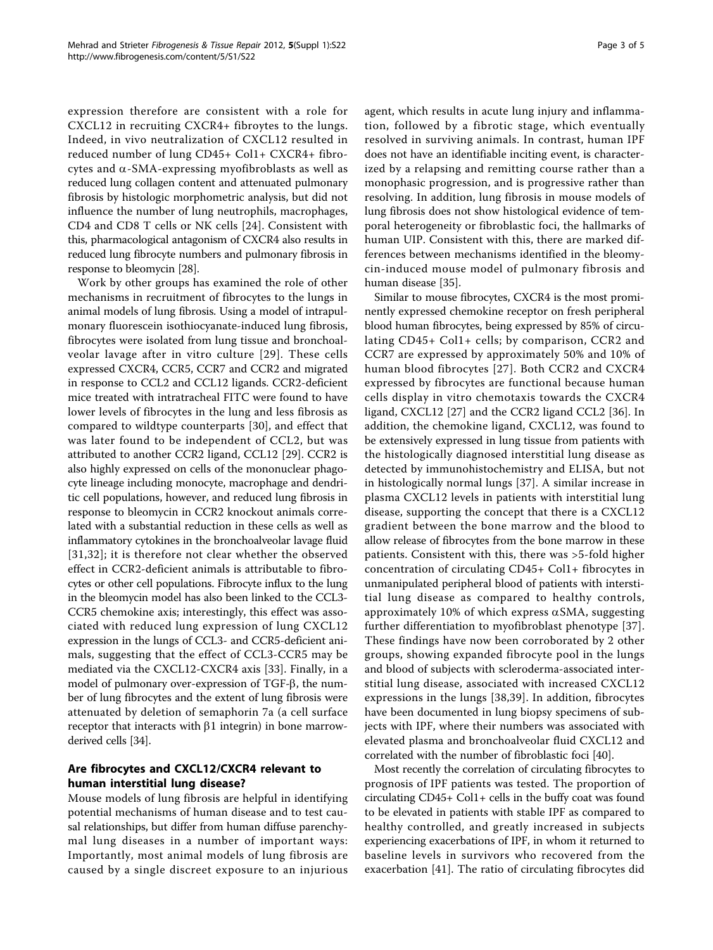expression therefore are consistent with a role for CXCL12 in recruiting CXCR4+ fibroytes to the lungs. Indeed, in vivo neutralization of CXCL12 resulted in reduced number of lung CD45+ Col1+ CXCR4+ fibrocytes and  $\alpha$ -SMA-expressing myofibroblasts as well as reduced lung collagen content and attenuated pulmonary fibrosis by histologic morphometric analysis, but did not influence the number of lung neutrophils, macrophages, CD4 and CD8 T cells or NK cells [\[24](#page-4-0)]. Consistent with this, pharmacological antagonism of CXCR4 also results in reduced lung fibrocyte numbers and pulmonary fibrosis in response to bleomycin [[28](#page-4-0)].

Work by other groups has examined the role of other mechanisms in recruitment of fibrocytes to the lungs in animal models of lung fibrosis. Using a model of intrapulmonary fluorescein isothiocyanate-induced lung fibrosis, fibrocytes were isolated from lung tissue and bronchoalveolar lavage after in vitro culture [[29\]](#page-4-0). These cells expressed CXCR4, CCR5, CCR7 and CCR2 and migrated in response to CCL2 and CCL12 ligands. CCR2-deficient mice treated with intratracheal FITC were found to have lower levels of fibrocytes in the lung and less fibrosis as compared to wildtype counterparts [[30](#page-4-0)], and effect that was later found to be independent of CCL2, but was attributed to another CCR2 ligand, CCL12 [[29\]](#page-4-0). CCR2 is also highly expressed on cells of the mononuclear phagocyte lineage including monocyte, macrophage and dendritic cell populations, however, and reduced lung fibrosis in response to bleomycin in CCR2 knockout animals correlated with a substantial reduction in these cells as well as inflammatory cytokines in the bronchoalveolar lavage fluid [[31,32](#page-4-0)]; it is therefore not clear whether the observed effect in CCR2-deficient animals is attributable to fibrocytes or other cell populations. Fibrocyte influx to the lung in the bleomycin model has also been linked to the CCL3- CCR5 chemokine axis; interestingly, this effect was associated with reduced lung expression of lung CXCL12 expression in the lungs of CCL3- and CCR5-deficient animals, suggesting that the effect of CCL3-CCR5 may be mediated via the CXCL12-CXCR4 axis [[33\]](#page-4-0). Finally, in a model of pulmonary over-expression of TGF-β, the number of lung fibrocytes and the extent of lung fibrosis were attenuated by deletion of semaphorin 7a (a cell surface receptor that interacts with  $\beta1$  integrin) in bone marrowderived cells [\[34\]](#page-4-0).

# Are fibrocytes and CXCL12/CXCR4 relevant to human interstitial lung disease?

Mouse models of lung fibrosis are helpful in identifying potential mechanisms of human disease and to test causal relationships, but differ from human diffuse parenchymal lung diseases in a number of important ways: Importantly, most animal models of lung fibrosis are caused by a single discreet exposure to an injurious agent, which results in acute lung injury and inflammation, followed by a fibrotic stage, which eventually resolved in surviving animals. In contrast, human IPF does not have an identifiable inciting event, is characterized by a relapsing and remitting course rather than a monophasic progression, and is progressive rather than resolving. In addition, lung fibrosis in mouse models of lung fibrosis does not show histological evidence of temporal heterogeneity or fibroblastic foci, the hallmarks of human UIP. Consistent with this, there are marked differences between mechanisms identified in the bleomycin-induced mouse model of pulmonary fibrosis and human disease [\[35\]](#page-4-0).

Similar to mouse fibrocytes, CXCR4 is the most prominently expressed chemokine receptor on fresh peripheral blood human fibrocytes, being expressed by 85% of circulating CD45+ Col1+ cells; by comparison, CCR2 and CCR7 are expressed by approximately 50% and 10% of human blood fibrocytes [[27\]](#page-4-0). Both CCR2 and CXCR4 expressed by fibrocytes are functional because human cells display in vitro chemotaxis towards the CXCR4 ligand, CXCL12 [[27\]](#page-4-0) and the CCR2 ligand CCL2 [[36\]](#page-4-0). In addition, the chemokine ligand, CXCL12, was found to be extensively expressed in lung tissue from patients with the histologically diagnosed interstitial lung disease as detected by immunohistochemistry and ELISA, but not in histologically normal lungs [\[37](#page-4-0)]. A similar increase in plasma CXCL12 levels in patients with interstitial lung disease, supporting the concept that there is a CXCL12 gradient between the bone marrow and the blood to allow release of fibrocytes from the bone marrow in these patients. Consistent with this, there was >5-fold higher concentration of circulating CD45+ Col1+ fibrocytes in unmanipulated peripheral blood of patients with interstitial lung disease as compared to healthy controls, approximately 10% of which express  $\alpha$ SMA, suggesting further differentiation to myofibroblast phenotype [[37](#page-4-0)]. These findings have now been corroborated by 2 other groups, showing expanded fibrocyte pool in the lungs and blood of subjects with scleroderma-associated interstitial lung disease, associated with increased CXCL12 expressions in the lungs [[38,39](#page-4-0)]. In addition, fibrocytes have been documented in lung biopsy specimens of subjects with IPF, where their numbers was associated with elevated plasma and bronchoalveolar fluid CXCL12 and correlated with the number of fibroblastic foci [\[40\]](#page-4-0).

Most recently the correlation of circulating fibrocytes to prognosis of IPF patients was tested. The proportion of circulating CD45+ Col1+ cells in the buffy coat was found to be elevated in patients with stable IPF as compared to healthy controlled, and greatly increased in subjects experiencing exacerbations of IPF, in whom it returned to baseline levels in survivors who recovered from the exacerbation [[41\]](#page-4-0). The ratio of circulating fibrocytes did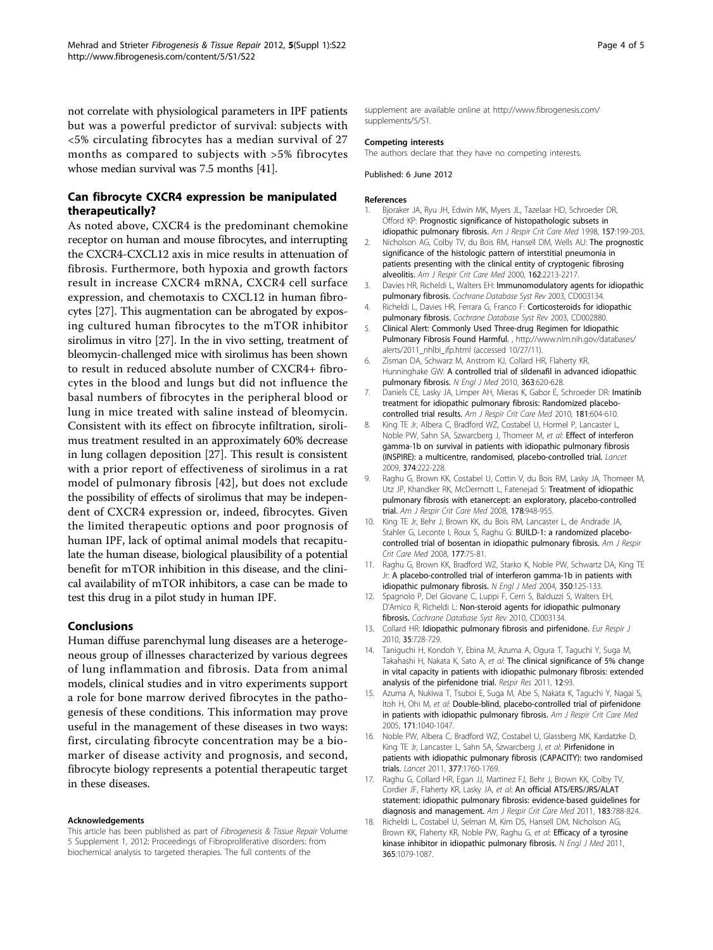<span id="page-3-0"></span>not correlate with physiological parameters in IPF patients but was a powerful predictor of survival: subjects with <5% circulating fibrocytes has a median survival of 27 months as compared to subjects with >5% fibrocytes whose median survival was 7.5 months [\[41\]](#page-4-0).

# Can fibrocyte CXCR4 expression be manipulated therapeutically?

As noted above, CXCR4 is the predominant chemokine receptor on human and mouse fibrocytes, and interrupting the CXCR4-CXCL12 axis in mice results in attenuation of fibrosis. Furthermore, both hypoxia and growth factors result in increase CXCR4 mRNA, CXCR4 cell surface expression, and chemotaxis to CXCL12 in human fibrocytes [[27](#page-4-0)]. This augmentation can be abrogated by exposing cultured human fibrocytes to the mTOR inhibitor sirolimus in vitro [[27](#page-4-0)]. In the in vivo setting, treatment of bleomycin-challenged mice with sirolimus has been shown to result in reduced absolute number of CXCR4+ fibrocytes in the blood and lungs but did not influence the basal numbers of fibrocytes in the peripheral blood or lung in mice treated with saline instead of bleomycin. Consistent with its effect on fibrocyte infiltration, sirolimus treatment resulted in an approximately 60% decrease in lung collagen deposition [\[27](#page-4-0)]. This result is consistent with a prior report of effectiveness of sirolimus in a rat model of pulmonary fibrosis [[42](#page-4-0)], but does not exclude the possibility of effects of sirolimus that may be independent of CXCR4 expression or, indeed, fibrocytes. Given the limited therapeutic options and poor prognosis of human IPF, lack of optimal animal models that recapitulate the human disease, biological plausibility of a potential benefit for mTOR inhibition in this disease, and the clinical availability of mTOR inhibitors, a case can be made to test this drug in a pilot study in human IPF.

#### Conclusions

Human diffuse parenchymal lung diseases are a heterogeneous group of illnesses characterized by various degrees of lung inflammation and fibrosis. Data from animal models, clinical studies and in vitro experiments support a role for bone marrow derived fibrocytes in the pathogenesis of these conditions. This information may prove useful in the management of these diseases in two ways: first, circulating fibrocyte concentration may be a biomarker of disease activity and prognosis, and second, fibrocyte biology represents a potential therapeutic target in these diseases.

#### Acknowledgements

This article has been published as part of Fibrogenesis & Tissue Repair Volume 5 Supplement 1, 2012: Proceedings of Fibroproliferative disorders: from biochemical analysis to targeted therapies. The full contents of the

supplement are available online at [http://www.fibrogenesis.com/](http://www.fibrogenesis.com/supplements/5/S1) [supplements/5/S1.](http://www.fibrogenesis.com/supplements/5/S1)

#### Competing interests

The authors declare that they have no competing interests.

Published: 6 June 2012

#### References

- 1. Bjoraker JA, Ryu JH, Edwin MK, Myers JL, Tazelaar HD, Schroeder DR, Offord KP: Prognostic significance of histopathologic subsets in idiopathic pulmonary fibrosis. Am J Respir Crit Care Med 1998, 157:199-203.
- 2. Nicholson AG, Colby TV, du Bois RM, Hansell DM, Wells AU: The prognostic significance of the histologic pattern of interstitial pneumonia in patients presenting with the clinical entity of cryptogenic fibrosing alveolitis. Am J Respir Crit Care Med 2000, 162:2213-2217.
- 3. Davies HR, Richeldi L, Walters EH: Immunomodulatory agents for idiopathic pulmonary fibrosis. Cochrane Database Syst Rev 2003, CD003134
- 4. Richeldi L, Davies HR, Ferrara G, Franco F: Corticosteroids for idiopathic pulmonary fibrosis. Cochrane Database Syst Rev 2003, CD002880.
- 5. Clinical Alert: Commonly Used Three-drug Regimen for Idiopathic Pulmonary Fibrosis Found Harmful. , http://www.nlm.nih.gov/databases/ alerts/2011\_nhlbi\_ifp.html (accessed 10/27/11).
- 6. Zisman DA, Schwarz M, Anstrom KJ, Collard HR, Flaherty KR, Hunninghake GW: A controlled trial of sildenafil in advanced idiopathic pulmonary fibrosis. N Engl J Med 2010, 363:620-628.
- 7. Daniels CE, Lasky JA, Limper AH, Mieras K, Gabor E, Schroeder DR: Imatinib treatment for idiopathic pulmonary fibrosis: Randomized placebocontrolled trial results. Am J Respir Crit Care Med 2010, 181:604-610.
- 8. King TE Jr, Albera C, Bradford WZ, Costabel U, Hormel P, Lancaster L, Noble PW, Sahn SA, Szwarcberg J, Thomeer M, et al: Effect of interferon gamma-1b on survival in patients with idiopathic pulmonary fibrosis (INSPIRE): a multicentre, randomised, placebo-controlled trial. Lancet 2009, 374:222-228.
- 9. Raghu G, Brown KK, Costabel U, Cottin V, du Bois RM, Lasky JA, Thomeer M, Utz JP, Khandker RK, McDermott L, Fatenejad S: Treatment of idiopathic pulmonary fibrosis with etanercept: an exploratory, placebo-controlled trial. Am J Respir Crit Care Med 2008, 178:948-955.
- 10. King TE Jr, Behr J, Brown KK, du Bois RM, Lancaster L, de Andrade JA, Stahler G, Leconte I, Roux S, Raghu G: BUILD-1: a randomized placebocontrolled trial of bosentan in idiopathic pulmonary fibrosis. Am J Respir Crit Care Med 2008, 177:75-81.
- 11. Raghu G, Brown KK, Bradford WZ, Starko K, Noble PW, Schwartz DA, King TE Jr: A placebo-controlled trial of interferon gamma-1b in patients with idiopathic pulmonary fibrosis. N Engl J Med 2004, 350:125-133.
- 12. Spagnolo P, Del Giovane C, Luppi F, Cerri S, Balduzzi S, Walters EH, D'Amico R, Richeldi L: Non-steroid agents for idiopathic pulmonary fibrosis. Cochrane Database Syst Rev 2010, CD003134.
- 13. Collard HR: Idiopathic pulmonary fibrosis and pirfenidone. Eur Respir J 2010, 35:728-729.
- 14. Taniguchi H, Kondoh Y, Ebina M, Azuma A, Ogura T, Taguchi Y, Suga M, Takahashi H, Nakata K, Sato A, et al: The clinical significance of 5% change in vital capacity in patients with idiopathic pulmonary fibrosis: extended analysis of the pirfenidone trial. Respir Res 2011, 12:93.
- 15. Azuma A, Nukiwa T, Tsuboi E, Suga M, Abe S, Nakata K, Taguchi Y, Nagai S, Itoh H, Ohi M, et al: Double-blind, placebo-controlled trial of pirfenidone in patients with idiopathic pulmonary fibrosis. Am J Respir Crit Care Med 2005, 171:1040-1047.
- 16. Noble PW, Albera C, Bradford WZ, Costabel U, Glassberg MK, Kardatzke D, King TE Jr, Lancaster L, Sahn SA, Szwarcberg J, et al: Pirfenidone in patients with idiopathic pulmonary fibrosis (CAPACITY): two randomised trials. Lancet 2011, 377:1760-1769.
- 17. Raghu G, Collard HR, Egan JJ, Martinez FJ, Behr J, Brown KK, Colby TV, Cordier JF, Flaherty KR, Lasky JA, et al: An official ATS/ERS/JRS/ALAT statement: idiopathic pulmonary fibrosis: evidence-based guidelines for diagnosis and management. Am J Respir Crit Care Med 2011, 183:788-824.
- 18. Richeldi L, Costabel U, Selman M, Kim DS, Hansell DM, Nicholson AG, Brown KK, Flaherty KR, Noble PW, Raghu G, et al: Efficacy of a tyrosine kinase inhibitor in idiopathic pulmonary fibrosis. N Engl J Med 2011, 365:1079-1087.